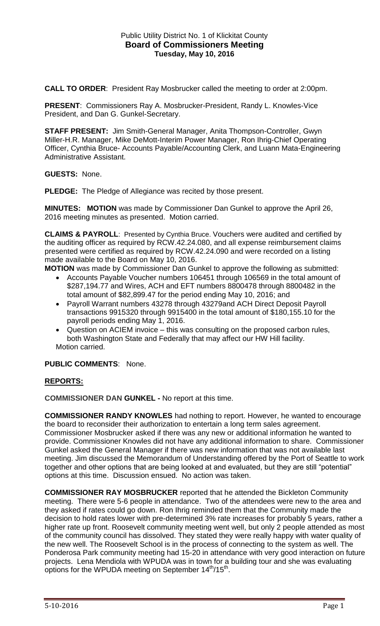## Public Utility District No. 1 of Klickitat County **Board of Commissioners Meeting Tuesday, May 10, 2016**

**CALL TO ORDER**: President Ray Mosbrucker called the meeting to order at 2:00pm.

**PRESENT**: Commissioners Ray A. Mosbrucker-President, Randy L. Knowles-Vice President, and Dan G. Gunkel-Secretary.

**STAFF PRESENT:** Jim Smith-General Manager, Anita Thompson-Controller, Gwyn Miller-H.R. Manager, Mike DeMott-Interim Power Manager, Ron Ihrig-Chief Operating Officer, Cynthia Bruce- Accounts Payable/Accounting Clerk, and Luann Mata-Engineering Administrative Assistant.

**GUESTS:** None.

**PLEDGE:** The Pledge of Allegiance was recited by those present.

**MINUTES: MOTION** was made by Commissioner Dan Gunkel to approve the April 26, 2016 meeting minutes as presented. Motion carried.

**CLAIMS & PAYROLL**: Presented by Cynthia Bruce. Vouchers were audited and certified by the auditing officer as required by RCW.42.24.080, and all expense reimbursement claims presented were certified as required by RCW.42.24.090 and were recorded on a listing made available to the Board on May 10, 2016.

**MOTION** was made by Commissioner Dan Gunkel to approve the following as submitted:

- Accounts Payable Voucher numbers 106451 through 106569 in the total amount of \$287,194.77 and Wires, ACH and EFT numbers 8800478 through 8800482 in the total amount of \$82,899.47 for the period ending May 10, 2016; and
- Payroll Warrant numbers 43278 through 43279and ACH Direct Deposit Payroll transactions 9915320 through 9915400 in the total amount of \$180,155.10 for the payroll periods ending May 1, 2016.
- Question on ACIEM invoice this was consulting on the proposed carbon rules, both Washington State and Federally that may affect our HW Hill facility. Motion carried.

**PUBLIC COMMENTS**: None.

## **REPORTS:**

**COMMISSIONER DAN GUNKEL -** No report at this time.

**COMMISSIONER RANDY KNOWLES** had nothing to report. However, he wanted to encourage the board to reconsider their authorization to entertain a long term sales agreement. Commissioner Mosbrucker asked if there was any new or additional information he wanted to provide. Commissioner Knowles did not have any additional information to share. Commissioner Gunkel asked the General Manager if there was new information that was not available last meeting. Jim discussed the Memorandum of Understanding offered by the Port of Seattle to work together and other options that are being looked at and evaluated, but they are still "potential" options at this time. Discussion ensued. No action was taken.

**COMMISSIONER RAY MOSBRUCKER** reported that he attended the Bickleton Community meeting. There were 5-6 people in attendance. Two of the attendees were new to the area and they asked if rates could go down. Ron Ihrig reminded them that the Community made the decision to hold rates lower with pre-determined 3% rate increases for probably 5 years, rather a higher rate up front. Roosevelt community meeting went well, but only 2 people attended as most of the community council has dissolved. They stated they were really happy with water quality of the new well. The Roosevelt School is in the process of connecting to the system as well. The Ponderosa Park community meeting had 15-20 in attendance with very good interaction on future projects. Lena Mendiola with WPUDA was in town for a building tour and she was evaluating options for the WPUDA meeting on September 14<sup>th</sup>/15<sup>th</sup>.